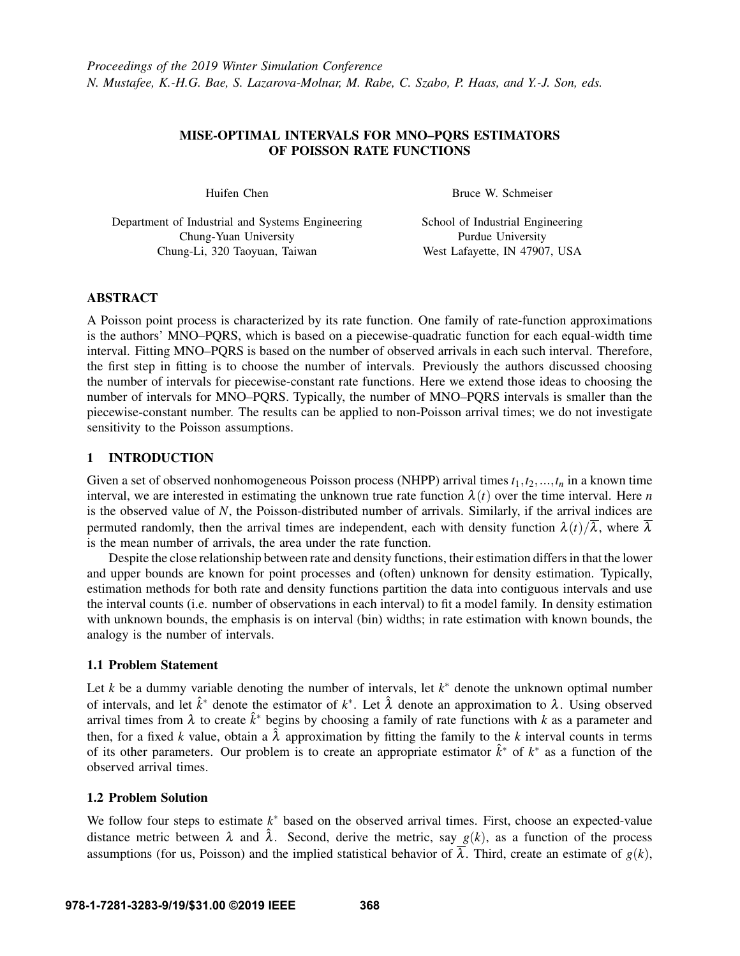## MISE-OPTIMAL INTERVALS FOR MNO–PQRS ESTIMATORS OF POISSON RATE FUNCTIONS

Huifen Chen

Bruce W. Schmeiser

Department of Industrial and Systems Engineering Chung-Yuan University Chung-Li, 320 Taoyuan, Taiwan

School of Industrial Engineering Purdue University West Lafayette, IN 47907, USA

## ABSTRACT

A Poisson point process is characterized by its rate function. One family of rate-function approximations is the authors' MNO–PQRS, which is based on a piecewise-quadratic function for each equal-width time interval. Fitting MNO–PQRS is based on the number of observed arrivals in each such interval. Therefore, the first step in fitting is to choose the number of intervals. Previously the authors discussed choosing the number of intervals for piecewise-constant rate functions. Here we extend those ideas to choosing the number of intervals for MNO–PQRS. Typically, the number of MNO–PQRS intervals is smaller than the piecewise-constant number. The results can be applied to non-Poisson arrival times; we do not investigate sensitivity to the Poisson assumptions.

# 1 INTRODUCTION

Given a set of observed nonhomogeneous Poisson process (NHPP) arrival times  $t_1, t_2, ..., t_n$  in a known time interval, we are interested in estimating the unknown true rate function  $\lambda(t)$  over the time interval. Here *n* is the observed value of *N*, the Poisson-distributed number of arrivals. Similarly, if the arrival indices are permuted randomly, then the arrival times are independent, each with density function  $\lambda(t)/\overline{\lambda}$ , where  $\overline{\lambda}$ is the mean number of arrivals, the area under the rate function.

Despite the close relationship between rate and density functions, their estimation differs in that the lower and upper bounds are known for point processes and (often) unknown for density estimation. Typically, estimation methods for both rate and density functions partition the data into contiguous intervals and use the interval counts (i.e. number of observations in each interval) to fit a model family. In density estimation with unknown bounds, the emphasis is on interval (bin) widths; in rate estimation with known bounds, the analogy is the number of intervals.

## 1.1 Problem Statement

Let  $k$  be a dummy variable denoting the number of intervals, let  $k^*$  denote the unknown optimal number of intervals, and let  $\hat{k}^*$  denote the estimator of  $k^*$ . Let  $\hat{\lambda}$  denote an approximation to  $\lambda$ . Using observed arrival times from  $\lambda$  to create  $\hat{k}^*$  begins by choosing a family of rate functions with k as a parameter and then, for a fixed *k* value, obtain a  $\hat{\lambda}$  approximation by fitting the family to the *k* interval counts in terms of its other parameters. Our problem is to create an appropriate estimator  $\hat{k}^*$  of  $k^*$  as a function of the observed arrival times.

## 1.2 Problem Solution

We follow four steps to estimate  $k^*$  based on the observed arrival times. First, choose an expected-value distance metric between  $\lambda$  and  $\hat{\lambda}$ . Second, derive the metric, say  $g(k)$ , as a function of the process assumptions (for us, Poisson) and the implied statistical behavior of  $\overline{\lambda}$ . Third, create an estimate of  $g(k)$ ,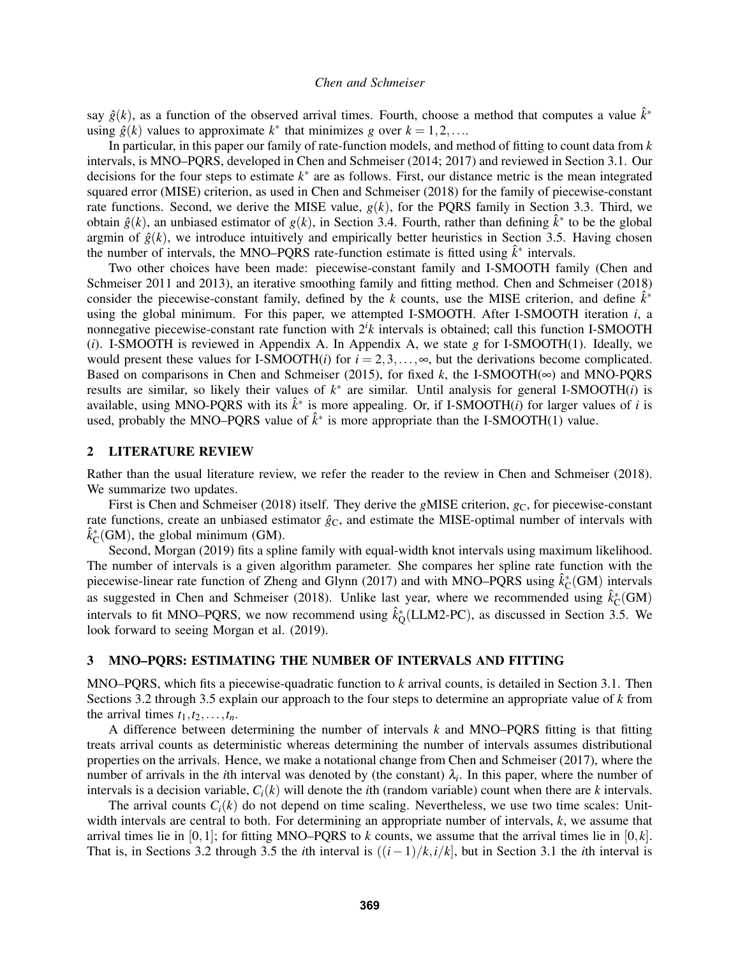say  $\hat{g}(k)$ , as a function of the observed arrival times. Fourth, choose a method that computes a value  $\hat{k}^*$ using  $\hat{g}(k)$  values to approximate  $k^*$  that minimizes *g* over  $k = 1, 2, \ldots$ 

In particular, in this paper our family of rate-function models, and method of fitting to count data from *k* intervals, is MNO–PQRS, developed in Chen and Schmeiser (2014; 2017) and reviewed in Section [3.1.](#page-2-0) Our decisions for the four steps to estimate *k* ∗ are as follows. First, our distance metric is the mean integrated squared error (MISE) criterion, as used in Chen and Schmeiser (2018) for the family of piecewise-constant rate functions. Second, we derive the MISE value, *g*(*k*), for the PQRS family in Section [3.3.](#page-3-0) Third, we obtain  $\hat{g}(k)$ , an unbiased estimator of  $g(k)$ , in Section [3.4.](#page-3-1) Fourth, rather than defining  $\hat{k}^*$  to be the global argmin of  $\hat{g}(k)$ , we introduce intuitively and empirically better heuristics in Section [3.5.](#page-4-0) Having chosen the number of intervals, the MNO–PQRS rate-function estimate is fitted using  $\hat{k}^*$  intervals.

Two other choices have been made: piecewise-constant family and I-SMOOTH family (Chen and Schmeiser 2011 and 2013), an iterative smoothing family and fitting method. Chen and Schmeiser (2018) consider the piecewise-constant family, defined by the *k* counts, use the MISE criterion, and define  $\hat{k}^*$ using the global minimum. For this paper, we attempted I-SMOOTH. After I-SMOOTH iteration *i*, a nonnegative piecewise-constant rate function with 2*<sup>i</sup> k* intervals is obtained; call this function I-SMOOTH (*i*). I-SMOOTH is reviewed in Appendix [A.](#page-9-0) In Appendix [A,](#page-9-0) we state *g* for I-SMOOTH(1). Ideally, we would present these values for I-SMOOTH(*i*) for  $i = 2, 3, \ldots, \infty$ , but the derivations become complicated. Based on comparisons in Chen and Schmeiser (2015), for fixed k, the I-SMOOTH( $\infty$ ) and MNO-PQRS results are similar, so likely their values of *k* ∗ are similar. Until analysis for general I-SMOOTH(*i*) is available, using MNO-PQRS with its  $\hat{k}^*$  is more appealing. Or, if I-SMOOTH(*i*) for larger values of *i* is used, probably the MNO–PQRS value of  $\hat{k}^*$  is more appropriate than the I-SMOOTH(1) value.

## 2 LITERATURE REVIEW

Rather than the usual literature review, we refer the reader to the review in Chen and Schmeiser (2018). We summarize two updates.

First is Chen and Schmeiser (2018) itself. They derive the *gMISE* criterion,  $g_C$ , for piecewise-constant rate functions, create an unbiased estimator  $\hat{g}_C$ , and estimate the MISE-optimal number of intervals with  $\hat{k}_{\text{C}}^*(\text{GM})$ , the global minimum (GM).

Second, Morgan (2019) fits a spline family with equal-width knot intervals using maximum likelihood. The number of intervals is a given algorithm parameter. She compares her spline rate function with the piecewise-linear rate function of Zheng and Glynn (2017) and with MNO–PQRS using  $\hat{k}_C^*(GM)$  intervals as suggested in Chen and Schmeiser (2018). Unlike last year, where we recommended using  $\hat{k}_C^*(GM)$ intervals to fit MNO–PQRS, we now recommend using  $\hat{k}_{\text{Q}}^*$  (LLM2-PC), as discussed in Section [3.5.](#page-4-0) We look forward to seeing Morgan et al. (2019).

### <span id="page-1-0"></span>3 MNO–PQRS: ESTIMATING THE NUMBER OF INTERVALS AND FITTING

MNO–PQRS, which fits a piecewise-quadratic function to *k* arrival counts, is detailed in Section [3.1.](#page-2-0) Then Sections [3.2](#page-2-1) through [3.5](#page-4-0) explain our approach to the four steps to determine an appropriate value of *k* from the arrival times  $t_1, t_2, \ldots, t_n$ .

A difference between determining the number of intervals *k* and MNO–PQRS fitting is that fitting treats arrival counts as deterministic whereas determining the number of intervals assumes distributional properties on the arrivals. Hence, we make a notational change from Chen and Schmeiser (2017), where the number of arrivals in the *i*th interval was denoted by (the constant)  $\lambda_i$ . In this paper, where the number of intervals is a decision variable,  $C_i(k)$  will denote the *i*th (random variable) count when there are *k* intervals.

The arrival counts  $C_i(k)$  do not depend on time scaling. Nevertheless, we use two time scales: Unitwidth intervals are central to both. For determining an appropriate number of intervals, *k*, we assume that arrival times lie in [0,1]; for fitting MNO–PQRS to *k* counts, we assume that the arrival times lie in [0, *k*]. That is, in Sections [3.2](#page-2-1) through [3.5](#page-4-0) the *i*th interval is  $((i-1)/k, i/k]$ , but in Section [3.1](#page-2-0) the *i*th interval is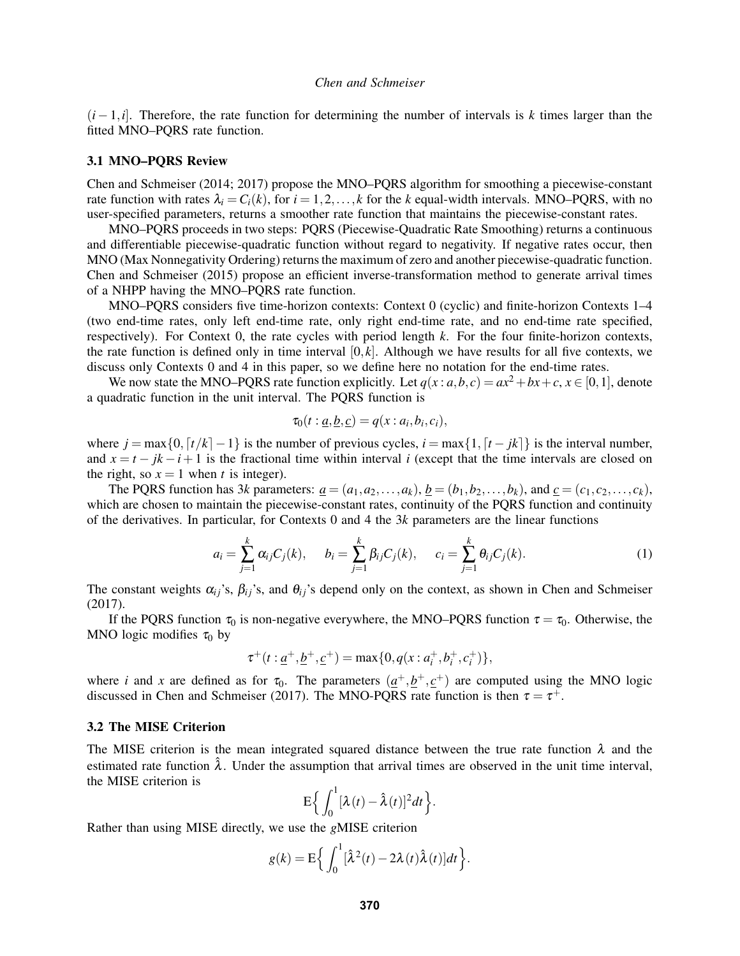(*i*−1,*i*]. Therefore, the rate function for determining the number of intervals is *k* times larger than the fitted MNO–PQRS rate function.

### <span id="page-2-0"></span>3.1 MNO–PQRS Review

Chen and Schmeiser (2014; 2017) propose the MNO–PQRS algorithm for smoothing a piecewise-constant rate function with rates  $\lambda_i = C_i(k)$ , for  $i = 1, 2, ..., k$  for the *k* equal-width intervals. MNO–PQRS, with no user-specified parameters, returns a smoother rate function that maintains the piecewise-constant rates.

MNO–PQRS proceeds in two steps: PQRS (Piecewise-Quadratic Rate Smoothing) returns a continuous and differentiable piecewise-quadratic function without regard to negativity. If negative rates occur, then MNO (Max Nonnegativity Ordering) returns the maximum of zero and another piecewise-quadratic function. Chen and Schmeiser (2015) propose an efficient inverse-transformation method to generate arrival times of a NHPP having the MNO–PQRS rate function.

MNO–PQRS considers five time-horizon contexts: Context 0 (cyclic) and finite-horizon Contexts 1–4 (two end-time rates, only left end-time rate, only right end-time rate, and no end-time rate specified, respectively). For Context 0, the rate cycles with period length *k*. For the four finite-horizon contexts, the rate function is defined only in time interval  $[0, k]$ . Although we have results for all five contexts, we discuss only Contexts 0 and 4 in this paper, so we define here no notation for the end-time rates.

We now state the MNO–PQRS rate function explicitly. Let  $q(x : a, b, c) = ax^2 + bx + c, x \in [0, 1]$ , denote a quadratic function in the unit interval. The PQRS function is

$$
\tau_0(t: \underline{a}, \underline{b}, \underline{c}) = q(x: a_i, b_i, c_i),
$$

where  $j = \max\{0, \lceil t/k \rceil - 1\}$  is the number of previous cycles,  $i = \max\{1, \lceil t - jk \rceil\}$  is the interval number, and  $x = t - jk - i + 1$  is the fractional time within interval *i* (except that the time intervals are closed on the right, so  $x = 1$  when *t* is integer).

The PQRS function has 3*k* parameters:  $\underline{a} = (a_1, a_2, \ldots, a_k), \underline{b} = (b_1, b_2, \ldots, b_k)$ , and  $\underline{c} = (c_1, c_2, \ldots, c_k)$ , which are chosen to maintain the piecewise-constant rates, continuity of the PQRS function and continuity of the derivatives. In particular, for Contexts 0 and 4 the 3*k* parameters are the linear functions

<span id="page-2-2"></span>
$$
a_i = \sum_{j=1}^k \alpha_{ij} C_j(k), \quad b_i = \sum_{j=1}^k \beta_{ij} C_j(k), \quad c_i = \sum_{j=1}^k \theta_{ij} C_j(k).
$$
 (1)

The constant weights  $\alpha_{ij}$ 's,  $\beta_{ij}$ 's, and  $\theta_{ij}$ 's depend only on the context, as shown in Chen and Schmeiser (2017).

If the PQRS function  $\tau_0$  is non-negative everywhere, the MNO–PQRS function  $\tau = \tau_0$ . Otherwise, the MNO logic modifies  $\tau_0$  by

$$
\tau^+(t: \underline{a}^+, \underline{b}^+, \underline{c}^+) = \max\{0, q(x: a_i^+, b_i^+, c_i^+)\},\
$$

where *i* and *x* are defined as for  $\tau_0$ . The parameters  $(\underline{a}^+, \underline{b}^+, \underline{c}^+)$  are computed using the MNO logic discussed in Chen and Schmeiser (2017). The MNO-PQRS rate function is then  $\tau = \tau^+$ .

## <span id="page-2-1"></span>3.2 The MISE Criterion

The MISE criterion is the mean integrated squared distance between the true rate function  $\lambda$  and the estimated rate function  $\hat{\lambda}$ . Under the assumption that arrival times are observed in the unit time interval, the MISE criterion is

$$
\mathsf{E}\bigg\{\int_0^1[\lambda(t)-\hat{\lambda}(t)]^2dt\bigg\}.
$$

Rather than using MISE directly, we use the *g*MISE criterion

$$
g(k) = \mathbf{E}\Big\{\int_0^1 [\hat{\lambda}^2(t) - 2\lambda(t)\hat{\lambda}(t)]dt\Big\}.
$$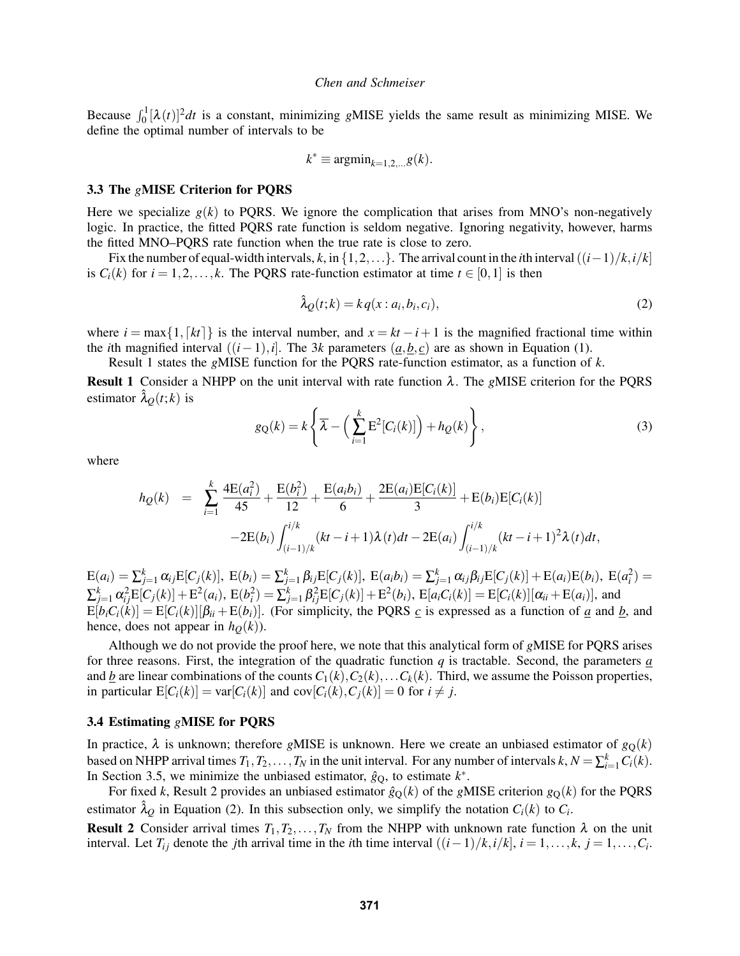Because  $\int_0^1 [\lambda(t)]^2 dt$  is a constant, minimizing *gMISE* yields the same result as minimizing MISE. We define the optimal number of intervals to be

$$
k^* \equiv \operatorname{argmin}_{k=1,2,\ldots} g(k).
$$

## <span id="page-3-0"></span>3.3 The *g*MISE Criterion for PQRS

Here we specialize  $g(k)$  to PQRS. We ignore the complication that arises from MNO's non-negatively logic. In practice, the fitted PQRS rate function is seldom negative. Ignoring negativity, however, harms the fitted MNO–PQRS rate function when the true rate is close to zero.

Fix the number of equal-width intervals,  $k$ , in  $\{1,2,...\}$ . The arrival count in the *i*th interval  $((i-1)/k,i/k]$ is  $C_i(k)$  for  $i = 1, 2, \ldots, k$ . The PQRS rate-function estimator at time  $t \in [0, 1]$  is then

<span id="page-3-4"></span>
$$
\hat{\lambda}_{\mathcal{Q}}(t;k) = kq(x: a_i, b_i, c_i),\tag{2}
$$

where  $i = \max\{1, [kt]\}\$ is the interval number, and  $x = kt - i + 1$  is the magnified fractional time within the *i*th magnified interval  $((i-1), i]$ . The 3*k* parameters  $(a, b, c)$  are as shown in Equation [\(1\)](#page-2-2).

Result [1](#page-3-2) states the *g*MISE function for the PQRS rate-function estimator, as a function of *k*.

<span id="page-3-2"></span>Result 1 Consider a NHPP on the unit interval with rate function λ. The *g*MISE criterion for the PQRS estimator  $\lambda_O(t;k)$  is

<span id="page-3-5"></span>
$$
g_{\mathcal{Q}}(k) = k \left\{ \overline{\lambda} - \left( \sum_{i=1}^{k} \mathbf{E}^{2} [C_{i}(k)] \right) + h_{\mathcal{Q}}(k) \right\},\tag{3}
$$

where

$$
h_Q(k) = \sum_{i=1}^k \frac{4E(a_i^2)}{45} + \frac{E(b_i^2)}{12} + \frac{E(a_ib_i)}{6} + \frac{2E(a_i)E[C_i(k)]}{3} + E(b_i)E[C_i(k)]
$$
  
-2E(b<sub>i</sub>) $\int_{(i-1)/k}^{i/k} (kt - i + 1)\lambda(t)dt - 2E(a_i)\int_{(i-1)/k}^{i/k} (kt - i + 1)^2\lambda(t)dt,$ 

 $E(a_i) = \sum_{j=1}^{k} \alpha_{ij} E[C_j(k)]$ ,  $E(b_i) = \sum_{j=1}^{k} \beta_{ij} E[C_j(k)]$ ,  $E(a_i b_i) = \sum_{j=1}^{k} \alpha_{ij} \beta_{ij} E[C_j(k)] + E(a_i) E(b_i)$ ,  $E(a_i^2) =$  $\sum_{j=1}^{k} \alpha_{ij}^{2} E[C_{j}(k)] + E^{2}(a_{i}), E(b_{i}^{2}) = \sum_{j=1}^{k} \beta_{ij}^{2} E[C_{j}(k)] + E^{2}(b_{i}), E[a_{i}C_{i}(k)] = E[C_{i}(k)][\alpha_{ii} + E(a_{i})],$  and  $E[b_iC_i(k)] = E[C_i(k)][\beta_{ii} + E(b_i)]$ . (For simplicity, the PQRS *c* is expressed as a function of *a* and *b*, and hence, does not appear in  $h<sub>O</sub>(k)$ ).

Although we do not provide the proof here, we note that this analytical form of *g*MISE for PQRS arises for three reasons. First, the integration of the quadratic function *q* is tractable. Second, the parameters *a* and *b* are linear combinations of the counts  $C_1(k), C_2(k), \ldots, C_k(k)$ . Third, we assume the Poisson properties, in particular  $E[C_i(k)] = \text{var}[C_i(k)]$  and  $\text{cov}[C_i(k), C_i(k)] = 0$  for  $i \neq j$ .

### <span id="page-3-1"></span>3.4 Estimating *g*MISE for PQRS

In practice,  $\lambda$  is unknown; therefore *gMISE* is unknown. Here we create an unbiased estimator of  $g<sub>O</sub>(k)$ based on NHPP arrival times  $T_1, T_2, \ldots, T_N$  in the unit interval. For any number of intervals  $k, N = \sum_{i=1}^k C_i(k)$ . In Section [3.5,](#page-4-0) we minimize the unbiased estimator,  $\hat{g}_Q$ , to estimate  $k^*$ .

For fixed *k*, Result [2](#page-3-3) provides an unbiased estimator  $\hat{g}_0(k)$  of the *gMISE* criterion  $g_0(k)$  for the PQRS estimator  $\hat{\lambda}_Q$  in Equation [\(2\)](#page-3-4). In this subsection only, we simplify the notation  $C_i(k)$  to  $C_i$ .

<span id="page-3-3"></span>**Result 2** Consider arrival times  $T_1, T_2, \ldots, T_N$  from the NHPP with unknown rate function  $\lambda$  on the unit interval. Let  $T_{ij}$  denote the *j*th arrival time in the *i*th time interval  $((i-1)/k, i/k]$ ,  $i = 1, \ldots, k$ ,  $j = 1, \ldots, C_i$ .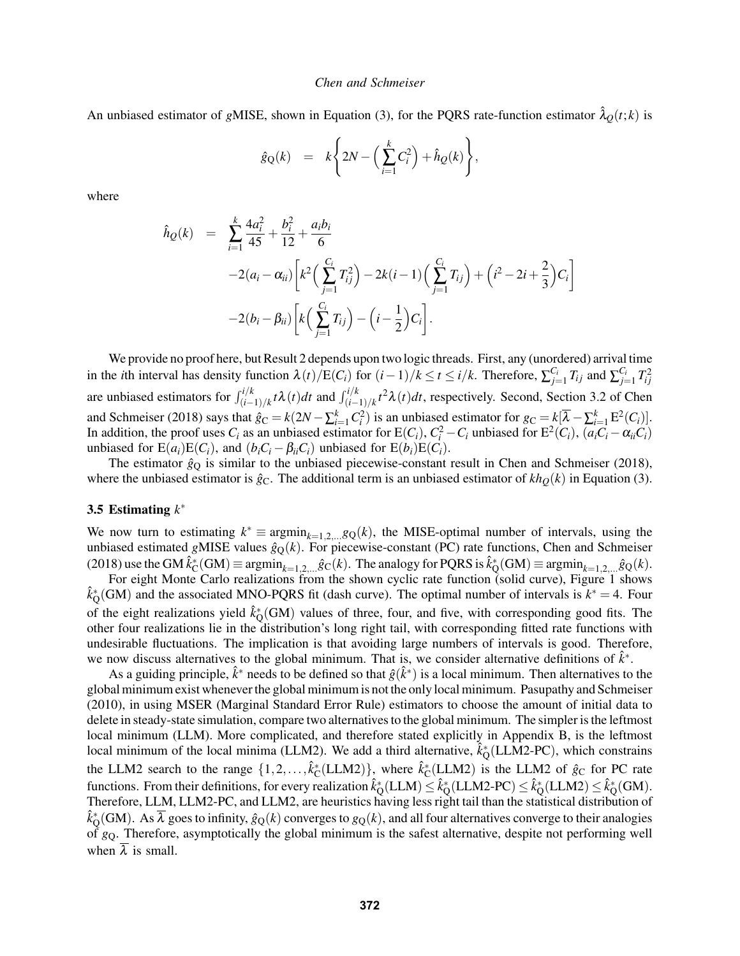An unbiased estimator of *gMISE*, shown in Equation [\(3\)](#page-3-5), for the PQRS rate-function estimator  $\lambda_Q(t; k)$  is

$$
\hat{g}_{Q}(k) = k \left\{ 2N - \left( \sum_{i=1}^{k} C_i^2 \right) + \hat{h}_Q(k) \right\},\
$$

where

$$
\hat{h}_Q(k) = \sum_{i=1}^k \frac{4a_i^2}{45} + \frac{b_i^2}{12} + \frac{a_ib_i}{6} \n-2(a_i - \alpha_{ii}) \left[ k^2 \left( \sum_{j=1}^{C_i} T_{ij}^2 \right) - 2k(i-1) \left( \sum_{j=1}^{C_i} T_{ij} \right) + \left( i^2 - 2i + \frac{2}{3} \right) C_i \right] \n-2(b_i - \beta_{ii}) \left[ k \left( \sum_{j=1}^{C_i} T_{ij} \right) - \left( i - \frac{1}{2} \right) C_i \right].
$$

We provide no proof here, but Result [2](#page-3-3) depends upon two logic threads. First, any (unordered) arrival time in the *i*th interval has density function  $\lambda(t)/E(C_i)$  for  $(i-1)/k \le t \le i/k$ . Therefore,  $\sum_{j=1}^{C_i} T_{ij}$  and  $\sum_{j=1}^{C_i} T_{ij}^2$ are unbiased estimators for  $\int_{(i-1)/k}^{i/k} t \lambda(t) dt$  and  $\int_{(i-1)/k}^{i/k} t^2 \lambda(t) dt$ , respectively. Second, Section 3.2 of Chen and Schmeiser (2018) says that  $\hat{g}_C = k(2N - \sum_{i=1}^k C_i^2)$  is an unbiased estimator for  $g_C = k[\overline{\lambda} - \sum_{i=1}^k E^2(C_i)].$ In addition, the proof uses  $C_i$  as an unbiased estimator for  $E(C_i)$ ,  $C_i^2 - C_i$  unbiased for  $E^2(C_i)$ ,  $(a_iC_i - a_{ii}C_i)$ unbiased for  $E(a_i)E(C_i)$ , and  $(b_iC_i - \beta_{ii}C_i)$  unbiased for  $E(b_i)E(C_i)$ .

The estimator  $\hat{g}_Q$  is similar to the unbiased piecewise-constant result in Chen and Schmeiser (2018), where the unbiased estimator is  $\hat{g}_C$ . The additional term is an unbiased estimator of  $kh_Q(k)$  in Equation [\(3\)](#page-3-5).

# <span id="page-4-0"></span>3.5 Estimating *k* ∗

We now turn to estimating  $k^* \equiv \arg\min_{k=1,2,...} g_Q(k)$ , the MISE-optimal number of intervals, using the unbiased estimated *gMISE* values  $\hat{g}_Q(k)$ . For piecewise-constant (PC) rate functions, Chen and Schmeiser  $(2018)$  use the GM  $\hat{k}_{\text{C}}^*(GM) \equiv \text{argmin}_{k=1,2,...} \hat{g}_{\text{C}}(k)$ . The analogy for PQRS is  $\hat{k}_{\text{Q}}^*(GM) \equiv \text{argmin}_{k=1,2,...} \hat{g}_{\text{Q}}(k)$ .

For eight Monte Carlo realizations from the shown cyclic rate function (solid curve), Figure [1](#page-5-0) shows  $\hat{k}_{\text{Q}}^*(GM)$  and the associated MNO-PQRS fit (dash curve). The optimal number of intervals is  $k^* = 4$ . Four of the eight realizations yield  $\hat{k}_Q^*(GM)$  values of three, four, and five, with corresponding good fits. The other four realizations lie in the distribution's long right tail, with corresponding fitted rate functions with undesirable fluctuations. The implication is that avoiding large numbers of intervals is good. Therefore, we now discuss alternatives to the global minimum. That is, we consider alternative definitions of  $\hat{k}^*$ .

As a guiding principle,  $\hat{k}^*$  needs to be defined so that  $\hat{g}(\hat{k}^*)$  is a local minimum. Then alternatives to the global minimum exist whenever the global minimum is not the only local minimum. Pasupathy and Schmeiser (2010), in using MSER (Marginal Standard Error Rule) estimators to choose the amount of initial data to delete in steady-state simulation, compare two alternatives to the global minimum. The simpler is the leftmost local minimum (LLM). More complicated, and therefore stated explicitly in Appendix [B,](#page-9-1) is the leftmost local minimum of the local minima (LLM2). We add a third alternative,  $\hat{k}_Q^*(LLM2-PC)$ , which constrains the LLM2 search to the range  $\{1, 2, ..., \hat{k}_C^*(LLM2)\}\)$ , where  $\hat{k}_C^*(LLM2)$  is the LLM2 of  $\hat{g}_C$  for PC rate functions. From their definitions, for every realization  $\hat{k}_Q^*(LLM) \leq \hat{k}_Q^*(LLM2\text{-PC}) \leq \hat{k}_Q^*(LLM2) \leq \hat{k}_Q^*(GM)$ . Therefore, LLM, LLM2-PC, and LLM2, are heuristics having less right tail than the statistical distribution of  $\hat k_Q^*(GM)$ . As  $\overline\lambda$  goes to infinity,  $\hat g_Q(k)$  converges to  $g_Q(k)$ , and all four alternatives converge to their analogies of *g*Q. Therefore, asymptotically the global minimum is the safest alternative, despite not performing well when  $\lambda$  is small.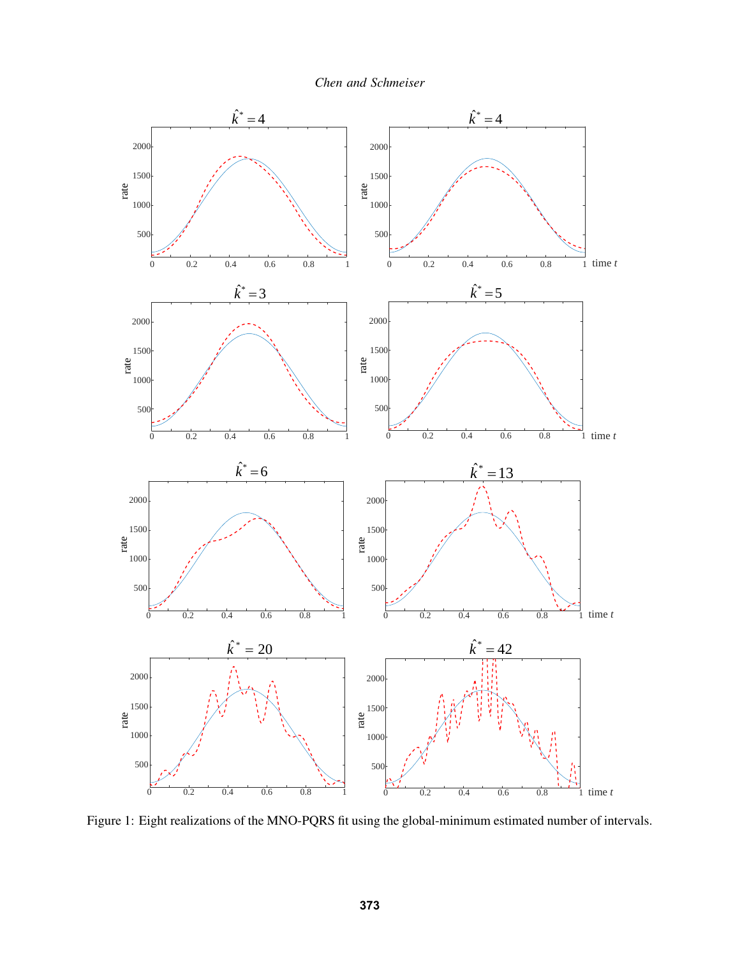*Chen and Schmeiser*



<span id="page-5-0"></span>Figure 1: Eight realizations of the MNO-PQRS fit using the global-minimum estimated number of intervals.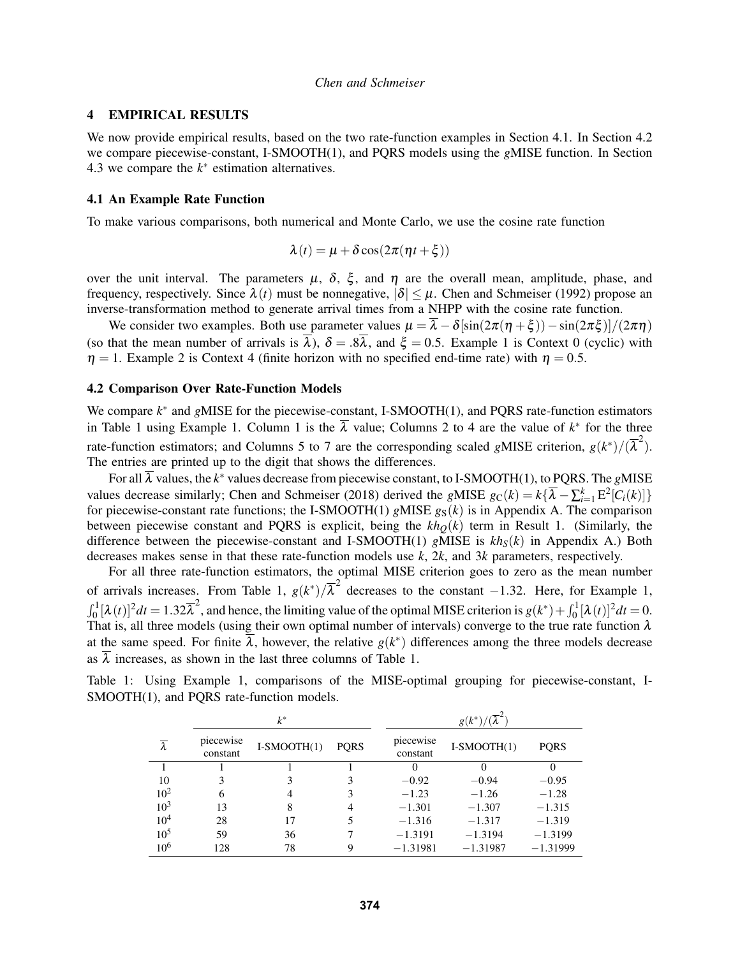## 4 EMPIRICAL RESULTS

We now provide empirical results, based on the two rate-function examples in Section [4.1.](#page-6-0) In Section [4.2](#page-6-1) we compare piecewise-constant, I-SMOOTH(1), and PQRS models using the *g*MISE function. In Section [4.3](#page-7-0) we compare the  $k^*$  estimation alternatives.

## <span id="page-6-0"></span>4.1 An Example Rate Function

To make various comparisons, both numerical and Monte Carlo, we use the cosine rate function

$$
\lambda(t) = \mu + \delta \cos(2\pi(\eta t + \xi))
$$

over the unit interval. The parameters  $\mu$ ,  $\delta$ ,  $\xi$ , and  $\eta$  are the overall mean, amplitude, phase, and frequency, respectively. Since  $\lambda(t)$  must be nonnegative,  $|\delta| \leq \mu$ . Chen and Schmeiser (1992) propose an inverse-transformation method to generate arrival times from a NHPP with the cosine rate function.

We consider two examples. Both use parameter values  $\mu = \overline{\lambda} - \delta[\sin(2\pi(\eta + \xi)) - \sin(2\pi\xi)]/(2\pi\eta)$ (so that the mean number of arrivals is  $\overline{\lambda}$ ),  $\delta = .8\overline{\lambda}$ , and  $\xi = 0.5$ . Example 1 is Context 0 (cyclic) with  $\eta = 1$ . Example 2 is Context 4 (finite horizon with no specified end-time rate) with  $\eta = 0.5$ .

#### <span id="page-6-1"></span>4.2 Comparison Over Rate-Function Models

We compare  $k^*$  and gMISE for the piecewise-constant, I-SMOOTH(1), and PQRS rate-function estimators in Table [1](#page-6-2) using Example 1. Column 1 is the  $\overline{\lambda}$  value; Columns 2 to 4 are the value of  $k^*$  for the three rate-function estimators; and Columns 5 to 7 are the corresponding scaled *gMISE* criterion,  $g(k^*)/(\overline{\lambda}^2)$ . The entries are printed up to the digit that shows the differences.

For all  $\overline{\lambda}$  values, the  $k^*$  values decrease from piecewise constant, to I-SMOOTH(1), to PQRS. The gMISE values decrease similarly; Chen and Schmeiser (2018) derived the *gMISE*  $g_C(k) = k\{\overline{\lambda} - \sum_{i=1}^k E^2[C_i(k)]\}$ for piecewise-constant rate functions; the I-SMOOTH(1) *gMISE*  $g_S(k)$  is in Appendix [A.](#page-9-0) The comparison between piecewise constant and PQRS is explicit, being the  $kh<sub>O</sub>(k)$  term in Result [1.](#page-3-2) (Similarly, the difference between the piecewise-constant and I-SMOOTH(1) *g*MISE is *khS*(*k*) in Appendix [A.](#page-9-0)) Both decreases makes sense in that these rate-function models use *k*, 2*k*, and 3*k* parameters, respectively.

For all three rate-function estimators, the optimal MISE criterion goes to zero as the mean number of arrivals increases. From Table [1,](#page-6-2)  $g(k^*)/\overline{\lambda}^2$  decreases to the constant −1.32. Here, for Example 1,  $\int_0^1 [\lambda(t)]^2 dt = 1.32\overline{\lambda}^2$ , and hence, the limiting value of the optimal MISE criterion is  $g(k^*) + \int_0^1 [\lambda(t)]^2 dt = 0$ . That is, all three models (using their own optimal number of intervals) converge to the true rate function λ at the same speed. For finite  $\overline{\lambda}$ , however, the relative  $g(k^*)$  differences among the three models decrease as  $\lambda$  increases, as shown in the last three columns of Table [1.](#page-6-2)

|  |  |                                           |  |  | Table 1: Using Example 1, comparisons of the MISE-optimal grouping for piecewise-constant, I- |  |
|--|--|-------------------------------------------|--|--|-----------------------------------------------------------------------------------------------|--|
|  |  | SMOOTH(1), and PQRS rate-function models. |  |  |                                                                                               |  |

<span id="page-6-2"></span>

|                      |                       | $k^*$         |             |                       | $g(k^*)$      |             |  |  |
|----------------------|-----------------------|---------------|-------------|-----------------------|---------------|-------------|--|--|
| $\overline{\lambda}$ | piecewise<br>constant | $I-SMOOTH(1)$ | <b>PORS</b> | piecewise<br>constant | $I-SMOOTH(1)$ | <b>PORS</b> |  |  |
|                      |                       |               |             | $\theta$              | 0             | 0           |  |  |
| 10                   | 3                     | 3             | 3           | $-0.92$               | $-0.94$       | $-0.95$     |  |  |
| $10^{2}$             | 6                     | 4             | 3           | $-1.23$               | $-1.26$       | $-1.28$     |  |  |
| 10 <sup>3</sup>      | 13                    | 8             | 4           | $-1.301$              | $-1.307$      | $-1.315$    |  |  |
| $10^{4}$             | 28                    | 17            |             | $-1.316$              | $-1.317$      | $-1.319$    |  |  |
| $10^{5}$             | 59                    | 36            |             | $-1.3191$             | $-1.3194$     | $-1.3199$   |  |  |
| $10^{6}$             | 128                   | 78            | Q           | $-1.31981$            | $-1.31987$    | $-1.31999$  |  |  |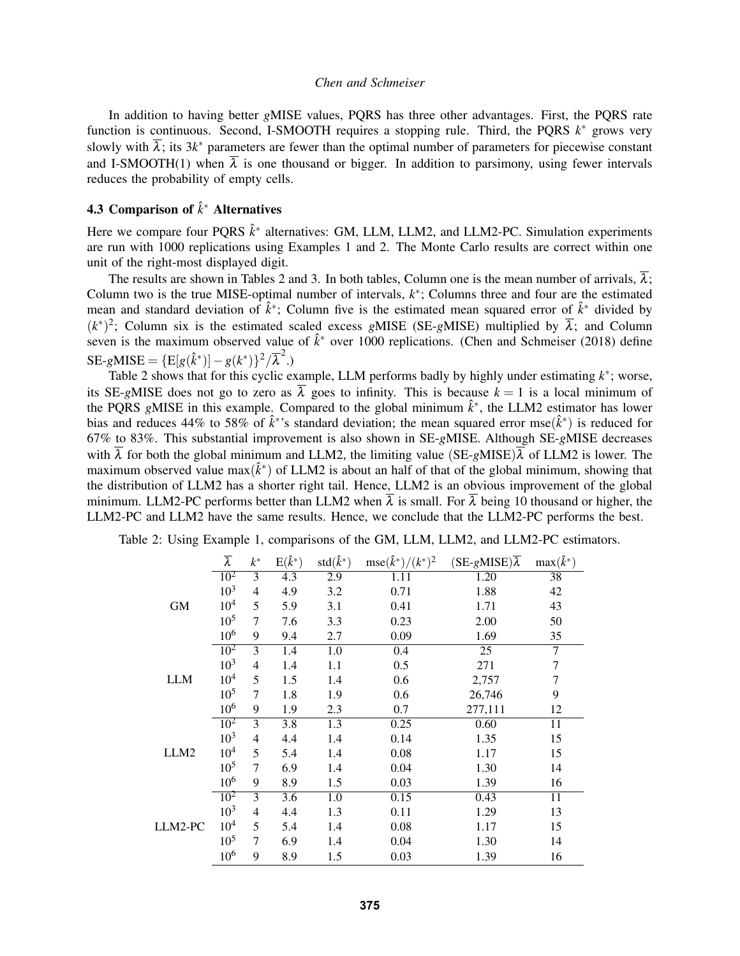In addition to having better *g*MISE values, PQRS has three other advantages. First, the PQRS rate function is continuous. Second, I-SMOOTH requires a stopping rule. Third, the PQRS *k*<sup>∗</sup> grows very slowly with  $\overline{\lambda}$ ; its 3*k*<sup>\*</sup> parameters are fewer than the optimal number of parameters for piecewise constant and I-SMOOTH(1) when  $\overline{\lambda}$  is one thousand or bigger. In addition to parsimony, using fewer intervals reduces the probability of empty cells.

# <span id="page-7-0"></span>4.3 Comparison of ˆ*k* <sup>∗</sup> Alternatives

Here we compare four PQRS  $\hat{k}^*$  alternatives: GM, LLM, LLM2, and LLM2-PC. Simulation experiments are run with 1000 replications using Examples 1 and 2. The Monte Carlo results are correct within one unit of the right-most displayed digit.

The results are shown in Tables [2](#page-7-1) and [3.](#page-8-0) In both tables, Column one is the mean number of arrivals,  $\overline{\lambda}$ ; Column two is the true MISE-optimal number of intervals,  $k^*$ ; Columns three and four are the estimated mean and standard deviation of  $\hat{k}^*$ ; Column five is the estimated mean squared error of  $\hat{k}^*$  divided by  $(k^*)^2$ ; Column six is the estimated scaled excess *gMISE* (SE-*gMISE*) multiplied by  $\overline{\lambda}$ ; and Column seven is the maximum observed value of  $\hat{k}^*$  over 1000 replications. (Chen and Schmeiser (2018) define  $\text{SE-gMISE} = \{ \text{E}[g(\hat{k}^*)] - g(k^*) \}^2 / \overline{\lambda}^2.$ 

Table [2](#page-7-1) shows that for this cyclic example, LLM performs badly by highly under estimating *k* ∗ ; worse, its SE-gMISE does not go to zero as  $\overline{\lambda}$  goes to infinity. This is because  $k = 1$  is a local minimum of the PQRS gMISE in this example. Compared to the global minimum  $\hat{k}^*$ , the LLM2 estimator has lower bias and reduces 44% to 58% of  $\hat{k}^*$ 's standard deviation; the mean squared error mse $(\hat{k}^*)$  is reduced for 67% to 83%. This substantial improvement is also shown in SE-*g*MISE. Although SE-*g*MISE decreases with  $\overline{\lambda}$  for both the global minimum and LLM2, the limiting value (SE-*gMISE*) $\overline{\lambda}$  of LLM2 is lower. The maximum observed value max $(\hat{k}^*)$  of LLM2 is about an half of that of the global minimum, showing that the distribution of LLM2 has a shorter right tail. Hence, LLM2 is an obvious improvement of the global minimum. LLM2-PC performs better than LLM2 when  $\overline{\lambda}$  is small. For  $\overline{\lambda}$  being 10 thousand or higher, the LLM2-PC and LLM2 have the same results. Hence, we conclude that the LLM2-PC performs the best.

<span id="page-7-1"></span>

|                  | $\overline{\lambda}$ | $k^*$          | $E(\hat{k}^*)$ | $std(\hat{k}^*)$ | $\text{mse}(\hat{k}^*)/(k^*)^2$ | $(SE-gMISE)\overline{\lambda}$ | $max(\hat{k}^*)$ |
|------------------|----------------------|----------------|----------------|------------------|---------------------------------|--------------------------------|------------------|
|                  | $10^{2}$             | 3              | 4.3            | 2.9              | 1.11                            | 1.20                           | 38               |
|                  | $10^{3}$             | 4              | 4.9            | 3.2              | 0.71                            | 1.88                           | 42               |
| <b>GM</b>        | $10^{4}$             | 5              | 5.9            | 3.1              | 0.41                            | 1.71                           | 43               |
|                  | $10^{5}$             | 7              | 7.6            | 3.3              | 0.23                            | 2.00                           | 50               |
|                  | $10^{6}$             | 9              | 9.4            | 2.7              | 0.09                            | 1.69                           | 35               |
|                  | $10^{2}$             | 3              | 1.4            | $\overline{1.0}$ | 0.4                             | $\overline{25}$                | $\overline{7}$   |
|                  | $10^{3}$             | 4              | 1.4            | 1.1              | 0.5                             | 271                            | $\tau$           |
| <b>LLM</b>       | $10^{4}$             | 5              | 1.5            | 1.4              | 0.6                             | 2,757                          | 7                |
|                  | $10^{5}$             | 7              | 1.8            | 1.9              | 0.6                             | 26,746                         | 9                |
|                  | $10^{6}$             | 9              | 1.9            | 2.3              | 0.7                             | 277,111                        | 12               |
|                  | $10^{2}$             | 3              | 3.8            | 1.3              | 0.25                            | 0.60                           | 11               |
|                  | $10^{3}$             | $\overline{4}$ | 4.4            | 1.4              | 0.14                            | 1.35                           | 15               |
| LLM <sub>2</sub> | $10^{4}$             | 5              | 5.4            | 1.4              | 0.08                            | 1.17                           | 15               |
|                  | $10^{5}$             | 7              | 6.9            | 1.4              | 0.04                            | 1.30                           | 14               |
|                  | $10^{6}$             | 9              | 8.9            | 1.5              | 0.03                            | 1.39                           | 16               |
|                  | $10^{2}$             | 3              | 3.6            | 1.0              | 0.15                            | 0.43                           | 11               |
|                  | $10^{3}$             | 4              | 4.4            | 1.3              | 0.11                            | 1.29                           | 13               |
| LLM2-PC          | 10 <sup>4</sup>      | 5              | 5.4            | 1.4              | 0.08                            | 1.17                           | 15               |
|                  | $10^{5}$             | 7              | 6.9            | 1.4              | 0.04                            | 1.30                           | 14               |
|                  | $10^{6}$             | 9              | 8.9            | 1.5              | 0.03                            | 1.39                           | 16               |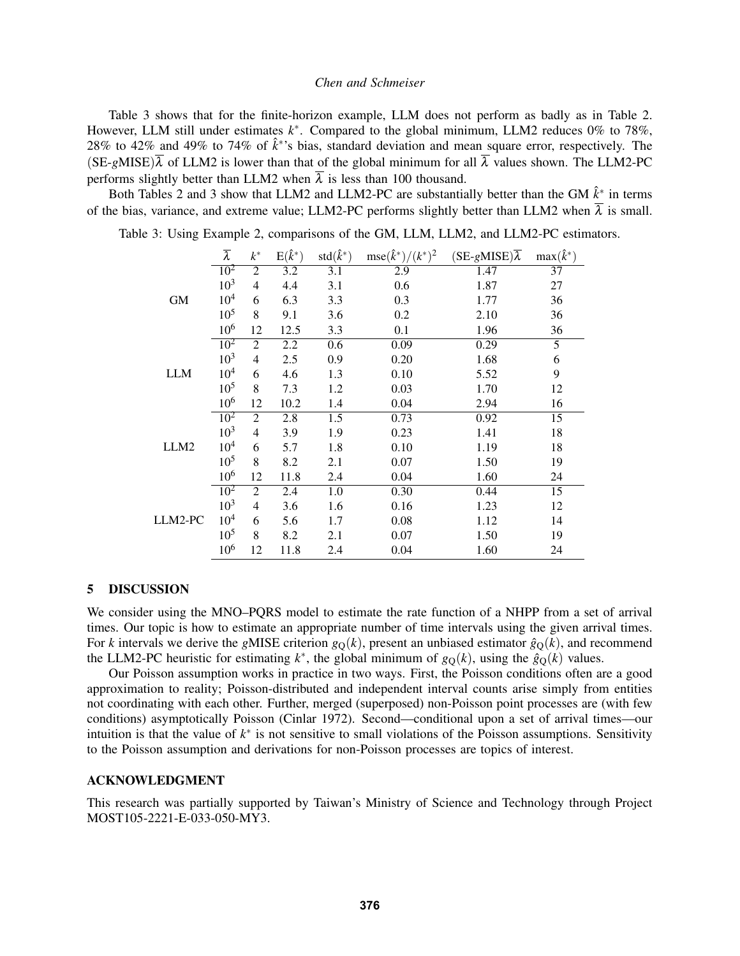Table [3](#page-8-0) shows that for the finite-horizon example, LLM does not perform as badly as in Table [2.](#page-7-1) However, LLM still under estimates *k* ∗ . Compared to the global minimum, LLM2 reduces 0% to 78%, 28% to 42% and 49% to 74% of  $\hat{k}^*$ 's bias, standard deviation and mean square error, respectively. The  $(SE-gMISE)\overline{\lambda}$  of LLM2 is lower than that of the global minimum for all  $\overline{\lambda}$  values shown. The LLM2-PC performs slightly better than LLM2 when  $\overline{\lambda}$  is less than 100 thousand.

Both Tables [2](#page-7-1) and [3](#page-8-0) show that LLM2 and LLM2-PC are substantially better than the GM  $\hat{k}^*$  in terms of the bias, variance, and extreme value; LLM2-PC performs slightly better than LLM2 when  $\overline{\lambda}$  is small.

Table 3: Using Example 2, comparisons of the GM, LLM, LLM2, and LLM2-PC estimators.

<span id="page-8-0"></span>

|                  | $\overline{\lambda}$ | $k^\ast$       | $E(\hat{k}^*)$ | $std(\hat{k}^*)$ | $\text{mse}(\hat{k}^*)/(k^*)^2$ | $(SE-gMISE)\overline{\lambda}$ | $\max(\hat{k}^*)$ |
|------------------|----------------------|----------------|----------------|------------------|---------------------------------|--------------------------------|-------------------|
|                  | $10^{2}$             | $\overline{2}$ | 3.2            | 3.1              | 2.9                             | 1.47                           | 37                |
|                  | $10^{3}$             | $\overline{4}$ | 4.4            | 3.1              | 0.6                             | 1.87                           | 27                |
| <b>GM</b>        | $10^{4}$             | 6              | 6.3            | 3.3              | 0.3                             | 1.77                           | 36                |
|                  | $10^{5}$             | 8              | 9.1            | 3.6              | 0.2                             | 2.10                           | 36                |
|                  | $10^{6}$             | 12             | 12.5           | 3.3              | 0.1                             | 1.96                           | 36                |
|                  | $10^{2}$             | $\overline{2}$ | 2.2            | 0.6              | 0.09                            | 0.29                           | $\overline{5}$    |
|                  | $10^{3}$             | 4              | 2.5            | 0.9              | 0.20                            | 1.68                           | 6                 |
| <b>LLM</b>       | 10 <sup>4</sup>      | 6              | 4.6            | 1.3              | 0.10                            | 5.52                           | 9                 |
|                  | $10^{5}$             | 8              | 7.3            | 1.2              | 0.03                            | 1.70                           | 12                |
|                  | $10^{6}$             | 12             | 10.2           | 1.4              | 0.04                            | 2.94                           | 16                |
|                  | $10^{2}$             | $\overline{2}$ | 2.8            | 1.5              | 0.73                            | 0.92                           | 15                |
|                  | $10^{3}$             | 4              | 3.9            | 1.9              | 0.23                            | 1.41                           | 18                |
| LLM <sub>2</sub> | $10^{4}$             | 6              | 5.7            | 1.8              | 0.10                            | 1.19                           | 18                |
|                  | $10^{5}$             | 8              | 8.2            | 2.1              | 0.07                            | 1.50                           | 19                |
|                  | $10^{6}$             | 12             | 11.8           | 2.4              | 0.04                            | 1.60                           | 24                |
|                  | $10^{2}$             | 2              | 2.4            | 1.0              | 0.30                            | 0.44                           | 15                |
|                  | $10^{3}$             | 4              | 3.6            | 1.6              | 0.16                            | 1.23                           | 12                |
| LLM2-PC          | $10^{4}$             | 6              | 5.6            | 1.7              | 0.08                            | 1.12                           | 14                |
|                  | $10^{5}$             | 8              | 8.2            | 2.1              | 0.07                            | 1.50                           | 19                |
|                  | $10^{6}$             | 12             | 11.8           | 2.4              | 0.04                            | 1.60                           | 24                |

## 5 DISCUSSION

We consider using the MNO–PORS model to estimate the rate function of a NHPP from a set of arrival times. Our topic is how to estimate an appropriate number of time intervals using the given arrival times. For *k* intervals we derive the *gMISE* criterion  $g<sub>O</sub>(k)$ , present an unbiased estimator  $\hat{g}<sub>O</sub>(k)$ , and recommend the LLM2-PC heuristic for estimating  $k^*$ , the global minimum of  $g_Q(k)$ , using the  $\hat{g}_Q(k)$  values.

Our Poisson assumption works in practice in two ways. First, the Poisson conditions often are a good approximation to reality; Poisson-distributed and independent interval counts arise simply from entities not coordinating with each other. Further, merged (superposed) non-Poisson point processes are (with few conditions) asymptotically Poisson (Cinlar 1972). Second—conditional upon a set of arrival times—our intuition is that the value of  $k^*$  is not sensitive to small violations of the Poisson assumptions. Sensitivity to the Poisson assumption and derivations for non-Poisson processes are topics of interest.

## ACKNOWLEDGMENT

This research was partially supported by Taiwan's Ministry of Science and Technology through Project MOST105-2221-E-033-050-MY3.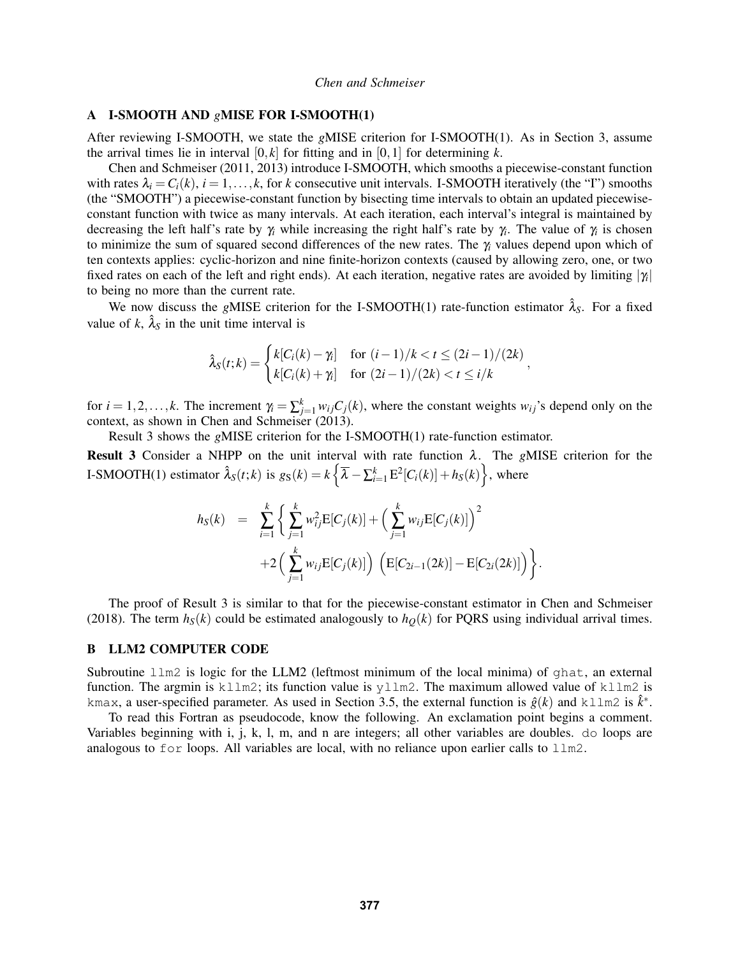## <span id="page-9-0"></span>A I-SMOOTH AND *g*MISE FOR I-SMOOTH(1)

After reviewing I-SMOOTH, we state the *g*MISE criterion for I-SMOOTH(1). As in Section [3,](#page-1-0) assume the arrival times lie in interval  $[0, k]$  for fitting and in  $[0, 1]$  for determining k.

Chen and Schmeiser (2011, 2013) introduce I-SMOOTH, which smooths a piecewise-constant function with rates  $\lambda_i = C_i(k)$ ,  $i = 1, ..., k$ , for *k* consecutive unit intervals. I-SMOOTH iteratively (the "I") smooths (the "SMOOTH") a piecewise-constant function by bisecting time intervals to obtain an updated piecewiseconstant function with twice as many intervals. At each iteration, each interval's integral is maintained by decreasing the left half's rate by γ*<sup>i</sup>* while increasing the right half's rate by γ*<sup>i</sup>* . The value of γ*<sup>i</sup>* is chosen to minimize the sum of squared second differences of the new rates. The γ*<sup>i</sup>* values depend upon which of ten contexts applies: cyclic-horizon and nine finite-horizon contexts (caused by allowing zero, one, or two fixed rates on each of the left and right ends). At each iteration, negative rates are avoided by limiting  $|\gamma_i|$ to being no more than the current rate.

We now discuss the *gMISE* criterion for the I-SMOOTH(1) rate-function estimator  $\hat{\lambda}_S$ . For a fixed value of  $k$ ,  $\hat{\lambda}_s$  in the unit time interval is

$$
\hat{\lambda}_S(t;k) = \begin{cases} k[C_i(k) - \gamma_i] & \text{for } (i-1)/k < t \le (2i-1)/(2k) \\ k[C_i(k) + \gamma_i] & \text{for } (2i-1)/(2k) < t \le i/k \end{cases}
$$

for  $i = 1, 2, \ldots, k$ . The increment  $\gamma_i = \sum_{j=1}^k w_{ij} C_j(k)$ , where the constant weights  $w_{ij}$ 's depend only on the context, as shown in Chen and Schmeiser (2013).

<span id="page-9-2"></span>Result [3](#page-9-2) shows the *g*MISE criterion for the I-SMOOTH(1) rate-function estimator. Result 3 Consider a NHPP on the unit interval with rate function λ. The *g*MISE criterion for the I-SMOOTH(1) estimator  $\hat{\lambda}_S(t;k)$  is  $g_S(k) = k \left\{ \overline{\lambda} - \sum_{i=1}^k E^2[C_i(k)] + h_S(k) \right\}$ , where

$$
h_S(k) = \sum_{i=1}^k \left\{ \sum_{j=1}^k w_{ij}^2 \mathbb{E}[C_j(k)] + \left( \sum_{j=1}^k w_{ij} \mathbb{E}[C_j(k)] \right)^2 + 2 \left( \sum_{j=1}^k w_{ij} \mathbb{E}[C_j(k)] \right) \left( \mathbb{E}[C_{2i-1}(2k)] - \mathbb{E}[C_{2i}(2k)] \right) \right\}.
$$

The proof of Result [3](#page-9-2) is similar to that for the piecewise-constant estimator in Chen and Schmeiser (2018). The term  $h<sub>S</sub>(k)$  could be estimated analogously to  $h<sub>O</sub>(k)$  for PQRS using individual arrival times.

#### <span id="page-9-1"></span>B LLM2 COMPUTER CODE

Subroutine llm2 is logic for the LLM2 (leftmost minimum of the local minima) of ghat, an external function. The argmin is  $k11m2$ ; its function value is  $y11m2$ . The maximum allowed value of  $k11m2$  is kmax, a user-specified parameter. As used in Section [3.5,](#page-4-0) the external function is  $\hat{g}(k)$  and kllm2 is  $\hat{k}^*$ .

To read this Fortran as pseudocode, know the following. An exclamation point begins a comment. Variables beginning with i, j, k, l, m, and n are integers; all other variables are doubles. do loops are analogous to for loops. All variables are local, with no reliance upon earlier calls to  $1 \text{ m}$ .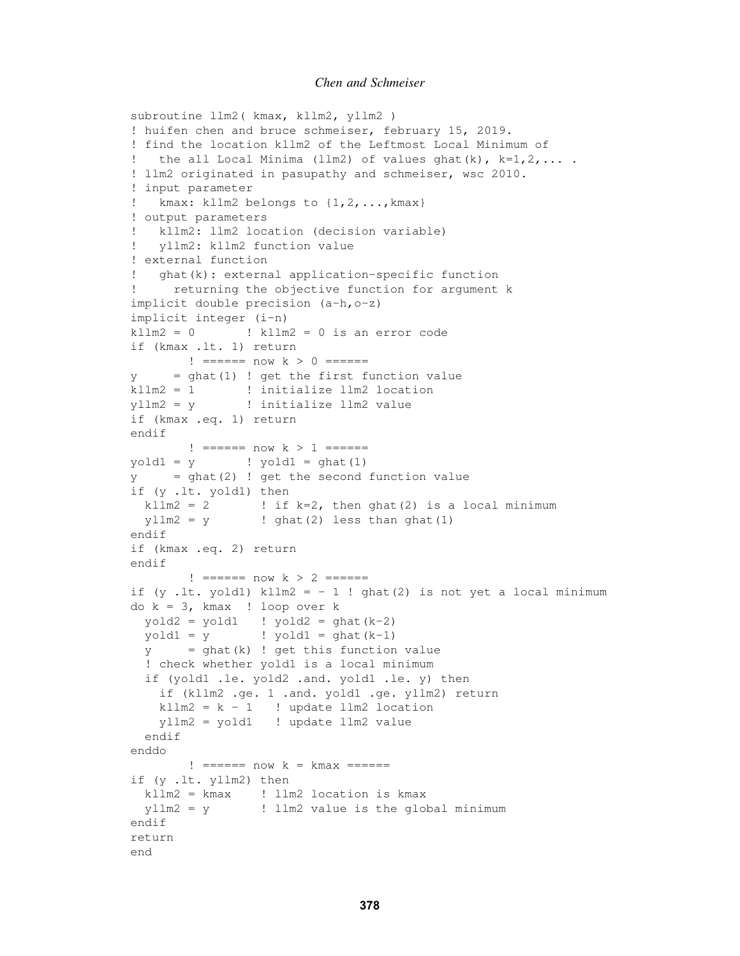```
subroutine llm2( kmax, kllm2, yllm2 )
! huifen chen and bruce schmeiser, february 15, 2019.
! find the location kllm2 of the Leftmost Local Minimum of
  the all Local Minima (llm2) of values ghat(k), k=1,2,\ldots.
! llm2 originated in pasupathy and schmeiser, wsc 2010.
! input parameter
! kmax: kllm2 belongs to {1,2,...,kmax}
! output parameters
! kllm2: llm2 location (decision variable)
! yllm2: kllm2 function value
! external function
! ghat(k): external application-specific function
! returning the objective function for argument k
implicit double precision (a-h,o-z)
implicit integer (i-n)
kllm2 = 0 ! kllm2 = 0 is an error code
if (kmax .lt. 1) return
       != == == now k > 0 == == ==y = qhat(1) ! get the first function value
kllm2 = 1 ! initialize llm2 location
yllm2 = y ! initialize llm2 value
if (kmax .eq. 1) return
endif
      != == == now k > 1 == == ==yold1 = y ! yold1 = ghat(1)y = ghat(2) ! get the second function value
if (y .lt. yold1) then
 kllm2 = 2 \cdot ! if k=2, then ghat(2) is a local minimum
 ylm2 = y ! ghat(2) less than ghat(1)
endif
if (kmax .eq. 2) return
endif
       != == == now k > 2 == == ==if (y .lt. yold1) kllm2 = -1! ghat(2) is not yet a local minimum
do k = 3, kmax ! loop over k
 yold2 = yold1 ! yold2 = qhat(k-2)yold1 = y ! yold1 = ghat(k-1)y = ghat(k) ! get this function value
  ! check whether yold1 is a local minimum
 if (yold1 .le. yold2 .and. yold1 .le. y) then
   if (kllm2 .ge. 1 .and. yold1 .ge. yllm2) return
   kllm2 = k - 1 ! update llm2 location
   yllm2 = yold1 ! update llm2 value
 endif
enddo
       != == == now k = kmax == == ==if (y .lt. yllm2) then
 kllm2 = kmax ! llm2 location is kmax
 yllm2 = y ! llm2 value is the global minimum
endif
return
end
```